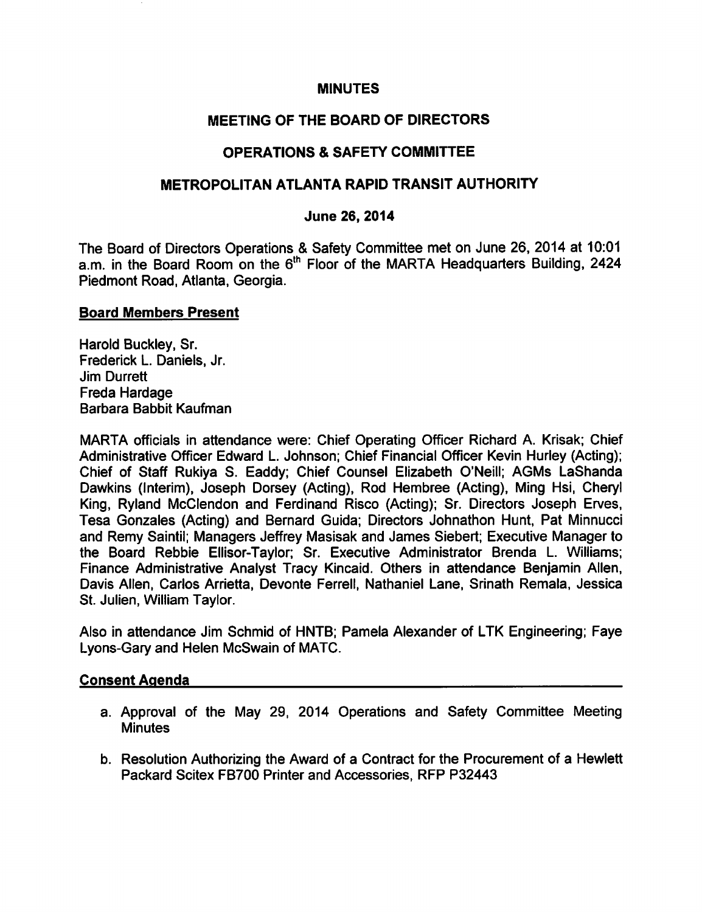#### MINUTES

# MEETING OF THE BOARD OF DIRECTORS

# OPERATIONS SAFETY COMMITTEE

## METROPOLITAN ATLANTA RAPID TRANSIT AUTHORITY

#### June 26, 2014

The Board of Directors Operations & Safety Committee met on June 26, 2014 at 10:01 a.m. in the Board Room on the 6<sup>th</sup> Floor of the MARTA Headquarters Building, 2424 Piedmont Road, Atlanta, Georgia.

#### Board Members Present

Harold Buckley, Sr. Frederick L. Daniels, Jr. Jim Durrett Freda Hardage Barbara Babbit Kaufman

MARTA officials in attendance were: Chief Operating Officer Richard A. Krisak; Chief Administrative Officer Edward L. Johnson; Chief Financial Officer Kevin Hurley (Acting); Chief of Staff Rukiya S. Eaddy; Chief Counsel Elizabeth O'Neill; AGMs LaShanda Dawkins (Interim), Joseph Dorsey (Acting), Rod Hembree (Acting), Ming Hsi, Cheryl King, Ryland McClendon and Ferdinand Risco (Acting); Sr. Directors Joseph Erves, Tesa Gonzales (Acting) and Bernard Guida; Directors Johnathon Hunt, Pat Minnucci and Remy Saintil; Managers Jeffrey Masisak and James Siebert; Executive Manager to the Board Rebbie Ellisor-Taylor; Sr. Executive Administrator Brenda L. Williams; Finance Administrative Analyst Tracy Kincaid. Others in attendance Benjamin Allen, Davis Allen, Carlos Arrietta, Devonte Ferrell, Nathaniel Lane, Srinath Remala, Jessica St. Julien, William Taylor.

Also in attendance Jim Schmid of HNTB; Pamela Alexander of LTK Engineering; Faye Lyons-Gary and Helen McSwain of MATC.

#### Consent Agenda

- a. Approval of the May 29, 2014 Operations and Safety Committee Meeting **Minutes**
- b. Resolution Authorizing the Award of a Contract for the Procurement of a Hewlett Packard Scitex FB700 Printer and Accessories, RFP P32443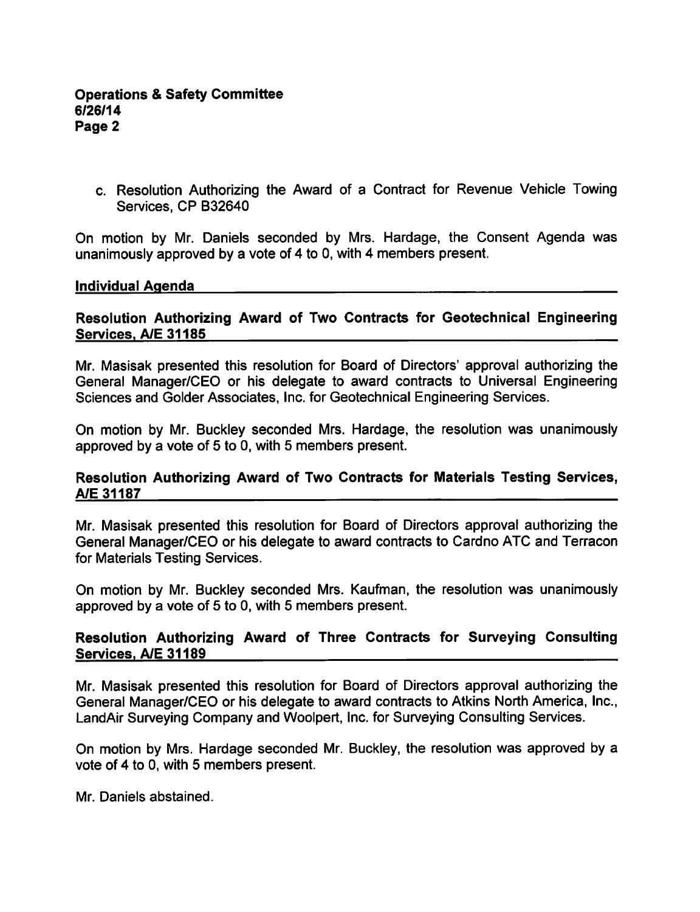c. Resolution Authorizing the Award of a Contract for Revenue Vehicle Towing Services, CP B32640

On motion by Mr. Daniels seconded by Mrs. Hardage, the Consent Agenda was unanimously approved by a vote of 4 to 0, with 4 members present.

#### Individual Agenda

#### Resolution Authorizing Award of Two Contracts for Geotechnical Engineering Services. A/E 31185

Mr. Masisak presented this resolution for Board of Directors' approval authorizing the General Manager/CEO or his delegate to award contracts to Universal Engineering Sciences and Golder Associates, Inc. for Geotechnical Engineering Services.

On motion by Mr. Buckley seconded Mrs. Hardage, the resolution was unanimously approved by a vote of  $5$  to 0, with  $5$  members present.

#### Resolution Authorizing Award of Two Contracts for Materials Testing Services, A/E 31187

Mr. Masisak presented this resolution for Board of Directors approval authorizing the General Manager/CEO or his delegate to award contracts to Cardno ATC and Terracon for Materials Testing Services.

On motion by Mr. Buckley seconded Mrs. Kaufman, the resolution was unanimously approved by a vote of  $5$  to 0, with  $5$  members present.

## Resolution Authorizing Award of Three Contracts for Surveying Consulting Services. A/E 31189

Mr. Masisak presented this resolution for Board of Directors approval authorizing the General Manager/CEO or his delegate to award contracts to Atkins North America, Inc., LandAir Surveying Company and Woolpert, Inc. for Surveying Consulting Services.

On motion by Mrs. Hardage seconded Mr. Buckley, the resolution was approved by vote of 4 to 0, with 5 members present.

Mr. Daniels abstained.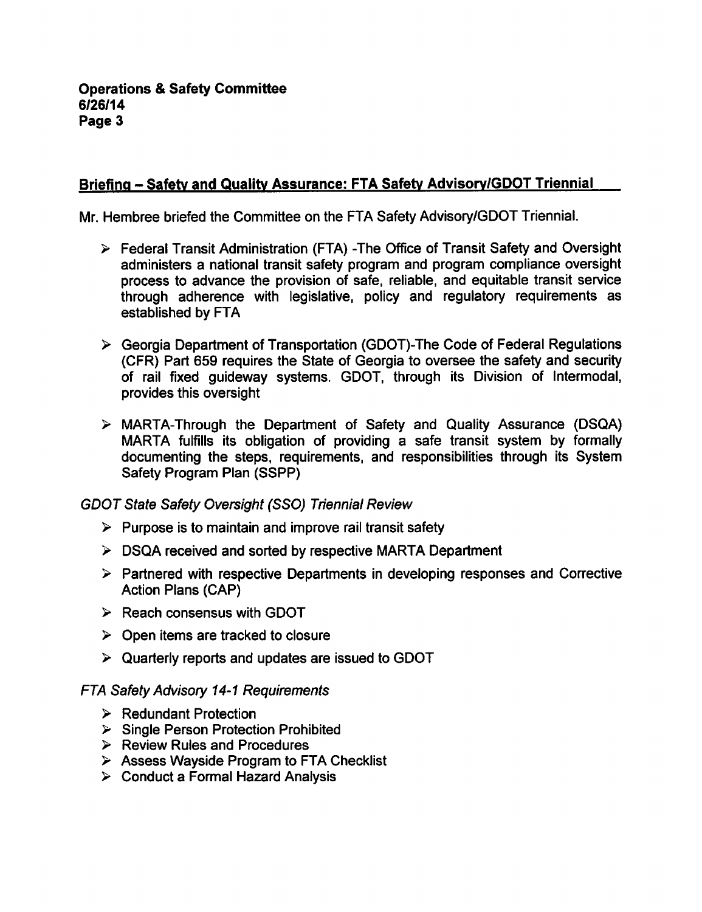# Briefing - Safety and Quality Assurance: FTA Safety Advisory/GDOT Triennial

Mr. Hembree briefed the Committee on the FTA Safety Advisory/GDOT Triennial.

- Federal Transit Administration (FTA) -The Office of Transit Safety and Oversight administers a national transit safety program and program compliance oversight process to advance the provision of safe, reliable, and equitable transit service through adherence with legislative, policy and regulatory requirements as established by FTA
- Georgia Department of Transportation (GDOT)-The Code of Federal Regulations (CFR) Part 659 requires the State of Georgia to oversee the safety and security of rail fixed guideway systems. GDOT, through its Division of Intermodal, provides this oversight
- MARTA-Through the Department of Safety and Quality Assurance (DSQA) MARTA fulfills its obligation of providing a safe transit system by formally documenting the steps, requirements, and responsibilities through its System Safety Program Plan (SSPP)

GDOT State Safety Oversight (SSO) Triennial Review

- $\triangleright$  Purpose is to maintain and improve rail transit safety
- > DSQA received and sorted by respective MARTA Department
- $\triangleright$  Partnered with respective Departments in developing responses and Corrective Action Plans (CAP)
- $\triangleright$  Reach consensus with GDOT
- $\triangleright$  Open items are tracked to closure
- $\triangleright$  Quarterly reports and updates are issued to GDOT

### FTA Safety Advisory 14-1 Requirements

- $\triangleright$  Redundant Protection
- $\triangleright$  Single Person Protection Prohibited
- $\triangleright$  Review Rules and Procedures
- $\triangleright$  Assess Wayside Program to FTA Checklist
- $\triangleright$  Conduct a Formal Hazard Analysis